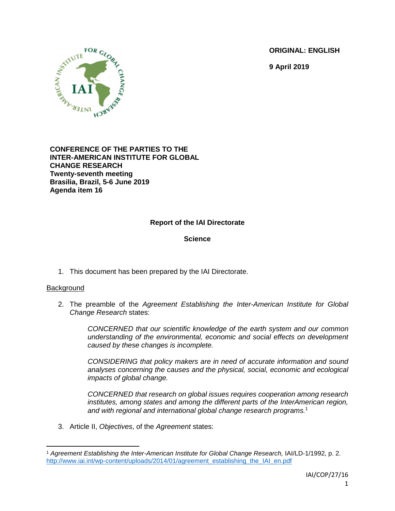**ORIGINAL: ENGLISH**

**9 April 2019**



#### **CONFERENCE OF THE PARTIES TO THE INTER-AMERICAN INSTITUTE FOR GLOBAL CHANGE RESEARCH Twenty-seventh meeting Brasilia, Brazil, 5-6 June 2019 Agenda item 16**

# **Report of the IAI Directorate**

# **Science**

1. This document has been prepared by the IAI Directorate.

## **Background**

 $\overline{a}$ 

2. The preamble of the *Agreement Establishing the Inter-American Institute for Global Change Research* states:

> *CONCERNED that our scientific knowledge of the earth system and our common understanding of the environmental, economic and social effects on development caused by these changes is incomplete.*

> *CONSIDERING that policy makers are in need of accurate information and sound analyses concerning the causes and the physical, social, economic and ecological impacts of global change.*

> *CONCERNED that research on global issues requires cooperation among research institutes, among states and among the different parts of the InterAmerican region, and with regional and international global change research programs.*<sup>1</sup>

3. Article II, *Objectives*, of the *Agreement* states:

<sup>1</sup> *Agreement Establishing the Inter-American Institute for Global Change Research,* IAI/LD-1/1992, p. 2. [http://www.iai.int/wp-content/uploads/2014/01/agreement\\_establishing\\_the\\_IAI\\_en.pdf](http://www.iai.int/wp-content/uploads/2014/01/agreement_establishing_the_IAI_en.pdf)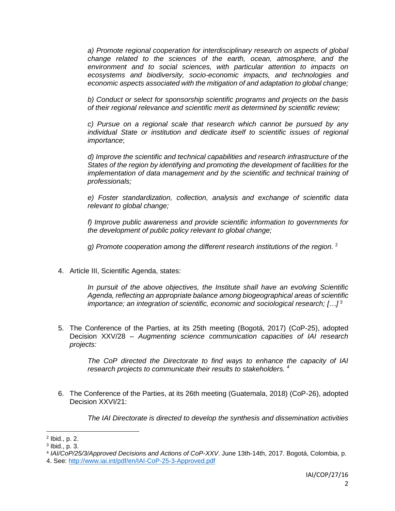*a) Promote regional cooperation for interdisciplinary research on aspects of global change related to the sciences of the earth, ocean, atmosphere, and the environment and to social sciences, with particular attention to impacts on ecosystems and biodiversity, socio-economic impacts, and technologies and economic aspects associated with the mitigation of and adaptation to global change;*

*b) Conduct or select for sponsorship scientific programs and projects on the basis of their regional relevance and scientific merit as determined by scientific review;*

*c) Pursue on a regional scale that research which cannot be pursued by any individual State or institution and dedicate itself to scientific issues of regional importance*;

*d) Improve the scientific and technical capabilities and research infrastructure of the States of the region by identifying and promoting the development of facilities for the implementation of data management and by the scientific and technical training of professionals;*

*e) Foster standardization, collection, analysis and exchange of scientific data relevant to global change;*

*f) Improve public awareness and provide scientific information to governments for the development of public policy relevant to global change;*

*g) Promote cooperation among the different research institutions of the region.* 2

4. Article III, Scientific Agenda, states:

*In pursuit of the above objectives, the Institute shall have an evolving Scientific Agenda, reflecting an appropriate balance among biogeographical areas of scientific importance; an integration of scientific, economic and sociological research; […]* <sup>3</sup>

5. The Conference of the Parties, at its 25th meeting (Bogotá, 2017) (CoP-25), adopted Decision XXV/28 – *Augmenting science communication capacities of IAI research projects:*

*The CoP directed the Directorate to find ways to enhance the capacity of IAI research projects to communicate their results to stakeholders. 4*

6. The Conference of the Parties, at its 26th meeting (Guatemala, 2018) (CoP-26), adopted Decision XXVI/21:

*The IAI Directorate is directed to develop the synthesis and dissemination activities* 

 $\overline{a}$ 

<sup>2</sup> Ibid., p. 2.

<sup>3</sup> Ibid., p. 3.

<sup>4</sup> *IAI/CoP/25/3/Approved Decisions and Actions of CoP-XXV*. June 13th-14th, 2017. Bogotá, Colombia, p. 4. See:<http://www.iai.int/pdf/en/IAI-CoP-25-3-Approved.pdf>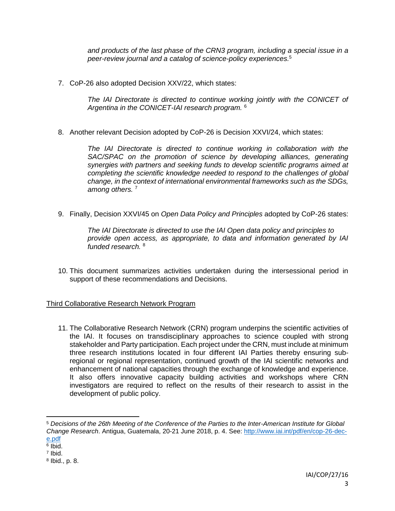*and products of the last phase of the CRN3 program, including a special issue in a peer-review journal and a catalog of science-policy experiences.*<sup>5</sup>

7. CoP-26 also adopted Decision XXV/22, which states:

*The IAI Directorate is directed to continue working jointly with the CONICET of Argentina in the CONICET-IAI research program.* <sup>6</sup>

8. Another relevant Decision adopted by CoP-26 is Decision XXVI/24, which states:

*The IAI Directorate is directed to continue working in collaboration with the* SAC/SPAC on the promotion of science by developing alliances, generating *synergies with partners and seeking funds to develop scientific programs aimed at completing the scientific knowledge needed to respond to the challenges of global change, in the context of international environmental frameworks such as the SDGs, among others.* <sup>7</sup>

9. Finally, Decision XXVI/45 on *Open Data Policy and Principles* adopted by CoP-26 states:

*The IAI Directorate is directed to use the IAI Open data policy and principles to provide open access, as appropriate, to data and information generated by IAI funded research.* <sup>8</sup>

10. This document summarizes activities undertaken during the intersessional period in support of these recommendations and Decisions.

# Third Collaborative Research Network Program

11. The Collaborative Research Network (CRN) program underpins the scientific activities of the IAI. It focuses on transdisciplinary approaches to science coupled with strong stakeholder and Party participation. Each project under the CRN, must include at minimum three research institutions located in four different IAI Parties thereby ensuring subregional or regional representation, continued growth of the IAI scientific networks and enhancement of national capacities through the exchange of knowledge and experience. It also offers innovative capacity building activities and workshops where CRN investigators are required to reflect on the results of their research to assist in the development of public policy.

<sup>5</sup> *Decisions of the 26th Meeting of the Conference of the Parties to the Inter-American Institute for Global Change Research*. Antigua, Guatemala, 20-21 June 2018, p. 4. See: [http://www.iai.int/pdf/en/cop-26-dec](http://www.iai.int/pdf/en/cop-26-dec-e.pdf)[e.pdf](http://www.iai.int/pdf/en/cop-26-dec-e.pdf)

<sup>6</sup> Ibid.

<sup>7</sup> Ibid.

<sup>8</sup> Ibid., p. 8.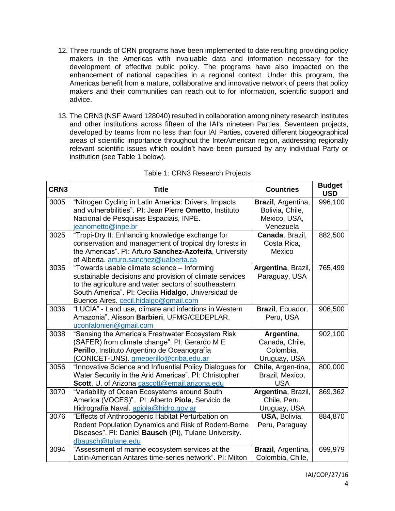- 12. Three rounds of CRN programs have been implemented to date resulting providing policy makers in the Americas with invaluable data and information necessary for the development of effective public policy. The programs have also impacted on the enhancement of national capacities in a regional context. Under this program, the Americas benefit from a mature, collaborative and innovative network of peers that policy makers and their communities can reach out to for information, scientific support and advice.
- 13. The CRN3 (NSF Award 128040) resulted in collaboration among ninety research institutes and other institutions across fifteen of the IAI's nineteen Parties. Seventeen projects, developed by teams from no less than four IAI Parties, covered different biogeographical areas of scientific importance throughout the InterAmerican region, addressing regionally relevant scientific issues which couldn't have been pursued by any individual Party or institution (see Table 1 below).

| CRN3 | <b>Title</b>                                             | <b>Countries</b>   | <b>Budget</b><br><b>USD</b> |
|------|----------------------------------------------------------|--------------------|-----------------------------|
| 3005 | "Nitrogen Cycling in Latin America: Drivers, Impacts     | Brazil, Argentina, | 996,100                     |
|      | and vulnerabilities". PI: Jean Pierre Ometto, Instituto  | Bolivia, Chile,    |                             |
|      | Nacional de Pesquisas Espaciais, INPE.                   | Mexico, USA,       |                             |
|      | jeanometto@inpe.br                                       | Venezuela          |                             |
| 3025 | "Tropi-Dry II: Enhancing knowledge exchange for          | Canada, Brazil,    | 882,500                     |
|      | conservation and management of tropical dry forests in   | Costa Rica,        |                             |
|      | the Americas". PI: Arturo Sanchez-Azofeifa, University   | Mexico             |                             |
|      | of Alberta. arturo.sanchez@ualberta.ca                   |                    |                             |
| 3035 | "Towards usable climate science - Informing              | Argentina, Brazil, | 765,499                     |
|      | sustainable decisions and provision of climate services  | Paraguay, USA      |                             |
|      | to the agriculture and water sectors of southeastern     |                    |                             |
|      | South America". PI: Cecilia Hidalgo, Universidad de      |                    |                             |
|      | Buenos Aires. cecil.hidalgo@gmail.com                    |                    |                             |
| 3036 | "LUCIA" - Land use, climate and infections in Western    | Brazil, Ecuador,   | 906,500                     |
|      | Amazonia". Alisson Barbieri, UFMG/CEDEPLAR.              | Peru, USA          |                             |
|      | uconfalonieri@gmail.com                                  |                    |                             |
| 3038 | "Sensing the America's Freshwater Ecosystem Risk         | Argentina,         | 902,100                     |
|      | (SAFER) from climate change". PI: Gerardo M E            | Canada, Chile,     |                             |
|      | Perillo, Instituto Argentino de Oceanografía             | Colombia,          |                             |
|      | (CONICET-UNS). gmeperillo@criba.edu.ar                   | Uruguay, USA       |                             |
| 3056 | "Innovative Science and Influential Policy Dialogues for | Chile, Argen-tina, | 800,000                     |
|      | Water Security in the Arid Americas". PI: Christopher    | Brazil, Mexico,    |                             |
|      | Scott, U. of Arizona cascott@email.arizona.edu           | <b>USA</b>         |                             |
| 3070 | "Variability of Ocean Ecosystems around South            | Argentina, Brazil, | 869,362                     |
|      | America (VOCES)". Pl: Alberto Piola, Servicio de         | Chile, Peru,       |                             |
|      | Hidrografía Naval. apiola@hidro.gov.ar                   | Uruguay, USA       |                             |
| 3076 | "Effects of Anthropogenic Habitat Perturbation on        | USA, Bolivia,      | 884,870                     |
|      | Rodent Population Dynamics and Risk of Rodent-Borne      | Peru, Paraguay     |                             |
|      | Diseases". Pl: Daniel Bausch (PI), Tulane University.    |                    |                             |
|      | dbausch@tulane.edu                                       |                    |                             |
| 3094 | "Assessment of marine ecosystem services at the          | Brazil, Argentina, | 699,979                     |
|      | Latin-American Antares time-series network". PI: Milton  | Colombia, Chile,   |                             |

# Table 1: CRN3 Research Projects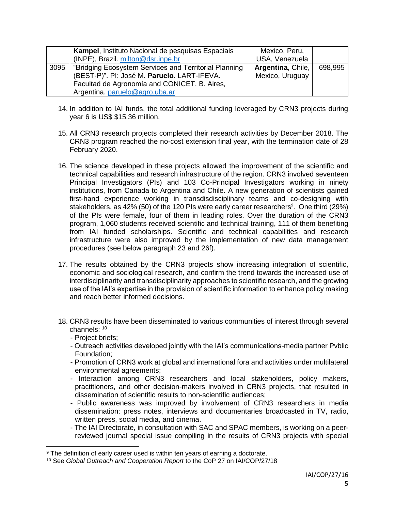|      | Kampel, Instituto Nacional de pesquisas Espaciais<br>(INPE), Brazil. milton@dsr.inpe.br                                                                                                | Mexico, Peru,<br>USA, Venezuela      |         |
|------|----------------------------------------------------------------------------------------------------------------------------------------------------------------------------------------|--------------------------------------|---------|
| 3095 | "Bridging Ecosystem Services and Territorial Planning<br>(BEST-P)". PI: José M. Paruelo. LART-IFEVA.<br>Facultad de Agronomía and CONICET, B. Aires,<br>Argentina. paruelo@agro.uba.ar | Argentina, Chile,<br>Mexico, Uruguay | 698,995 |

- 14. In addition to IAI funds, the total additional funding leveraged by CRN3 projects during year 6 is US\$ \$15.36 million.
- 15. All CRN3 research projects completed their research activities by December 2018. The CRN3 program reached the no-cost extension final year, with the termination date of 28 February 2020.
- 16. The science developed in these projects allowed the improvement of the scientific and technical capabilities and research infrastructure of the region. CRN3 involved seventeen Principal Investigators (PIs) and 103 Co-Principal Investigators working in ninety institutions, from Canada to Argentina and Chile. A new generation of scientists gained first-hand experience working in transdisdisciplinary teams and co-designing with stakeholders, as 42% (50) of the 120 PIs were early career researchers<sup>9</sup>. One third (29%) of the PIs were female, four of them in leading roles. Over the duration of the CRN3 program, 1,060 students received scientific and technical training, 111 of them benefiting from IAI funded scholarships. Scientific and technical capabilities and research infrastructure were also improved by the implementation of new data management procedures (see below paragraph 23 and 26f).
- 17. The results obtained by the CRN3 projects show increasing integration of scientific, economic and sociological research, and confirm the trend towards the increased use of interdisciplinarity and transdisciplinarity approaches to scientific research, and the growing use of the IAI's expertise in the provision of scientific information to enhance policy making and reach better informed decisions.
- 18. CRN3 results have been disseminated to various communities of interest through several channels: <sup>10</sup>
	- Project briefs;

 $\overline{a}$ 

- Outreach activities developed jointly with the IAI's communications-media partner Pvblic Foundation;
- Promotion of CRN3 work at global and international fora and activities under multilateral environmental agreements;
- Interaction among CRN3 researchers and local stakeholders, policy makers, practitioners, and other decision-makers involved in CRN3 projects, that resulted in dissemination of scientific results to non-scientific audiences;
- Public awareness was improved by involvement of CRN3 researchers in media dissemination: press notes, interviews and documentaries broadcasted in TV, radio, written press, social media, and cinema.
- The IAI Directorate, in consultation with SAC and SPAC members, is working on a peerreviewed journal special issue compiling in the results of CRN3 projects with special

<sup>&</sup>lt;sup>9</sup> The definition of early career used is within ten years of earning a doctorate.

<sup>10</sup> See *Global Outreach and Cooperation Report* to the CoP 27 on IAI/COP/27/18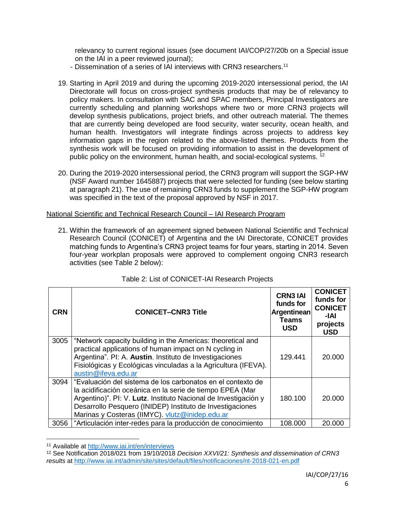relevancy to current regional issues (see document IAI/COP/27/20b on a Special issue on the IAI in a peer reviewed journal);

- Dissemination of a series of IAI interviews with CRN3 researchers.<sup>11</sup>
- 19. Starting in April 2019 and during the upcoming 2019-2020 intersessional period, the IAI Directorate will focus on cross-project synthesis products that may be of relevancy to policy makers. In consultation with SAC and SPAC members, Principal Investigators are currently scheduling and planning workshops where two or more CRN3 projects will develop synthesis publications, project briefs, and other outreach material. The themes that are currently being developed are food security, water security, ocean health, and human health. Investigators will integrate findings across projects to address key information gaps in the region related to the above-listed themes. Products from the synthesis work will be focused on providing information to assist in the development of public policy on the environment, human health, and social-ecological systems.<sup>12</sup>
- 20. During the 2019-2020 intersessional period, the CRN3 program will support the SGP-HW (NSF Award number 1645887) projects that were selected for funding (see below starting at paragraph 21). The use of remaining CRN3 funds to supplement the SGP-HW program was specified in the text of the proposal approved by NSF in 2017.

National Scientific and Technical Research Council – IAI Research Program

21. Within the framework of an agreement signed between National Scientific and Technical Research Council (CONICET) of Argentina and the IAI Directorate, CONICET provides matching funds to Argentina's CRN3 project teams for four years, starting in 2014. Seven four-year workplan proposals were approved to complement ongoing CNR3 research activities (see Table 2 below):

| <b>CRN</b> | <b>CONICET-CNR3 Title</b>                                                                                                                                                                                                                                                                                   | <b>CRN3 IAI</b><br>funds for<br>Argentinean<br><b>Teams</b><br><b>USD</b> | <b>CONICET</b><br>funds for<br><b>CONICET</b><br>-IAI<br>projects<br><b>USD</b> |
|------------|-------------------------------------------------------------------------------------------------------------------------------------------------------------------------------------------------------------------------------------------------------------------------------------------------------------|---------------------------------------------------------------------------|---------------------------------------------------------------------------------|
| 3005       | "Network capacity building in the Americas: theoretical and<br>practical applications of human impact on N cycling in<br>Argentina". PI: A. Austin. Instituto de Investigaciones<br>Fisiológicas y Ecológicas vinculadas a la Agricultura (IFEVA).<br>austin@ifeva.edu.ar                                   | 129.441                                                                   | 20.000                                                                          |
| 3094       | "Evaluación del sistema de los carbonatos en el contexto de<br>la acidificación oceánica en la serie de tiempo EPEA (Mar<br>Argentino)". Pl: V. Lutz. Instituto Nacional de Investigación y<br>Desarrollo Pesquero (INIDEP) Instituto de Investigaciones<br>Marinas y Costeras (IIMYC). vlutz@inidep.edu.ar | 180.100                                                                   | 20,000                                                                          |
| 3056       | "Articulación inter-redes para la producción de conocimiento                                                                                                                                                                                                                                                | 108.000                                                                   | 20,000                                                                          |

|  | Table 2: List of CONICET-IAI Research Projects |  |
|--|------------------------------------------------|--|
|  |                                                |  |

<sup>11</sup> Available at<http://www.iai.int/en/interviews>

<sup>12</sup> See Notification 2018/021 from 19/10/2018 *Decision XXVI/21: Synthesis and dissemination of CRN3 results* at<http://www.iai.int/admin/site/sites/default/files/notificaciones/nt-2018-021-en.pdf>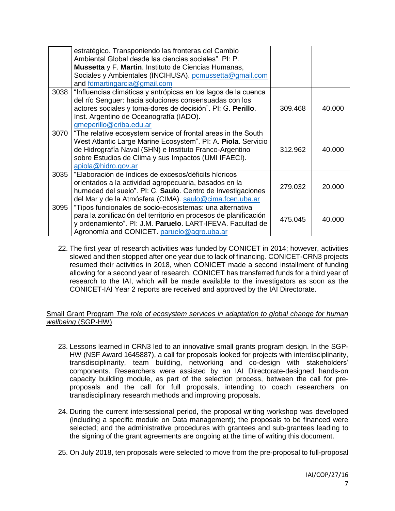|      | estratégico. Transponiendo las fronteras del Cambio<br>Ambiental Global desde las ciencias sociales". PI: P.<br>Mussetta y F. Martin. Instituto de Ciencias Humanas,<br>Sociales y Ambientales (INCIHUSA). pcmussetta@gmail.com<br>and fdmartingarcia@gmail.com          |         |        |
|------|--------------------------------------------------------------------------------------------------------------------------------------------------------------------------------------------------------------------------------------------------------------------------|---------|--------|
| 3038 | "Influencias climáticas y antrópicas en los lagos de la cuenca<br>del río Senguer: hacia soluciones consensuadas con los<br>actores sociales y toma-dores de decisión". Pl: G. Perillo.<br>Inst. Argentino de Oceanografía (IADO).<br>gmeperillo@criba.edu.ar            | 309.468 | 40.000 |
| 3070 | "The relative ecosystem service of frontal areas in the South<br>West Atlantic Large Marine Ecosystem". PI: A. Piola. Servicio<br>de Hidrografía Naval (SHN) e Instituto Franco-Argentino<br>sobre Estudios de Clima y sus Impactos (UMI IFAECI).<br>apiola@hidro.gov.ar | 312.962 | 40.000 |
| 3035 | "Elaboración de índices de excesos/déficits hídricos<br>orientados a la actividad agropecuaria, basados en la<br>humedad del suelo". Pl: C. Saulo. Centro de Investigaciones<br>del Mar y de la Atmósfera (CIMA). saulo@cima.fcen.uba.ar                                 | 279.032 | 20,000 |
| 3095 | "Tipos funcionales de socio-ecosistemas: una alternativa<br>para la zonificación del territorio en procesos de planificación<br>y ordenamiento". PI: J.M. Paruelo. LART-IFEVA. Facultad de<br>Agronomía and CONICET. paruelo@agro.uba.ar                                 | 475.045 | 40.000 |

22. The first year of research activities was funded by CONICET in 2014; however, activities slowed and then stopped after one year due to lack of financing. CONICET-CRN3 projects resumed their activities in 2018, when CONICET made a second installment of funding allowing for a second year of research. CONICET has transferred funds for a third year of research to the IAI, which will be made available to the investigators as soon as the CONICET-IAI Year 2 reports are received and approved by the IAI Directorate.

#### Small Grant Program *The role of ecosystem services in adaptation to global change for human wellbeing* (SGP-HW)

- 23. Lessons learned in CRN3 led to an innovative small grants program design. In the SGP-HW (NSF Award 1645887), a call for proposals looked for projects with interdisciplinarity, transdisciplinarity, team building, networking and co-design with stakeholders' components. Researchers were assisted by an IAI Directorate-designed hands-on capacity building module, as part of the selection process, between the call for preproposals and the call for full proposals, intending to coach researchers on transdisciplinary research methods and improving proposals.
- 24. During the current intersessional period, the proposal writing workshop was developed (including a specific module on Data management); the proposals to be financed were selected; and the administrative procedures with grantees and sub-grantees leading to the signing of the grant agreements are ongoing at the time of writing this document.
- 25. On July 2018, ten proposals were selected to move from the pre-proposal to full-proposal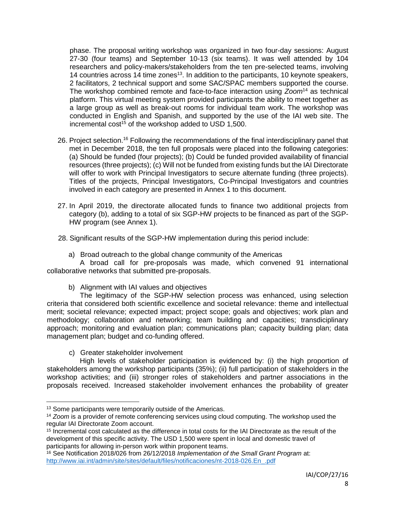phase. The proposal writing workshop was organized in two four-day sessions: August 27-30 (four teams) and September 10-13 (six teams). It was well attended by 104 researchers and policy-makers/stakeholders from the ten pre-selected teams, involving 14 countries across 14 time zones<sup>13</sup>. In addition to the participants, 10 keynote speakers, 2 facilitators, 2 technical support and some SAC/SPAC members supported the course. The workshop combined remote and face-to-face interaction using *Zoom*<sup>14</sup> as technical platform. This virtual meeting system provided participants the ability to meet together as a large group as well as break-out rooms for individual team work. The workshop was conducted in English and Spanish, and supported by the use of the IAI web site. The incremental cost<sup>15</sup> of the workshop added to USD 1,500.

- 26. Project selection.<sup>16</sup> Following the recommendations of the final interdisciplinary panel that met in December 2018, the ten full proposals were placed into the following categories: (a) Should be funded (four projects); (b) Could be funded provided availability of financial resources (three projects); (c) Will not be funded from existing funds but the IAI Directorate will offer to work with Principal Investigators to secure alternate funding (three projects). Titles of the projects, Principal Investigators, Co-Principal Investigators and countries involved in each category are presented in Annex 1 to this document.
- 27. In April 2019, the directorate allocated funds to finance two additional projects from category (b), adding to a total of six SGP-HW projects to be financed as part of the SGP-HW program (see Annex 1).

28. Significant results of the SGP-HW implementation during this period include:

a) Broad outreach to the global change community of the Americas

A broad call for pre-proposals was made, which convened 91 international collaborative networks that submitted pre-proposals.

b) Alignment with IAI values and objectives

The legitimacy of the SGP-HW selection process was enhanced, using selection criteria that considered both scientific excellence and societal relevance: theme and intellectual merit; societal relevance; expected impact; project scope; goals and objectives; work plan and methodology; collaboration and networking; team building and capacities; transdiciplinary approach; monitoring and evaluation plan; communications plan; capacity building plan; data management plan; budget and co-funding offered.

c) Greater stakeholder involvement

 $\overline{a}$ 

High levels of stakeholder participation is evidenced by: (i) the high proportion of stakeholders among the workshop participants (35%); (ii) full participation of stakeholders in the workshop activities; and (iii) stronger roles of stakeholders and partner associations in the proposals received. Increased stakeholder involvement enhances the probability of greater

<sup>&</sup>lt;sup>13</sup> Some participants were temporarily outside of the Americas.

<sup>14</sup> *Zoom* is a provider of remote conferencing services using cloud computing. The workshop used the regular IAI Directorate Zoom account.

<sup>15</sup> Incremental cost calculated as the difference in total costs for the IAI Directorate as the result of the development of this specific activity. The USD 1,500 were spent in local and domestic travel of participants for allowing in-person work within proponent teams.

<sup>16</sup> See Notification 2018/026 from 26/12/2018 *Implementation of the Small Grant Program* at: [http://www.iai.int/admin/site/sites/default/files/notificaciones/nt-2018-026.En\\_.pdf](http://www.iai.int/admin/site/sites/default/files/notificaciones/nt-2018-026.En_.pdf)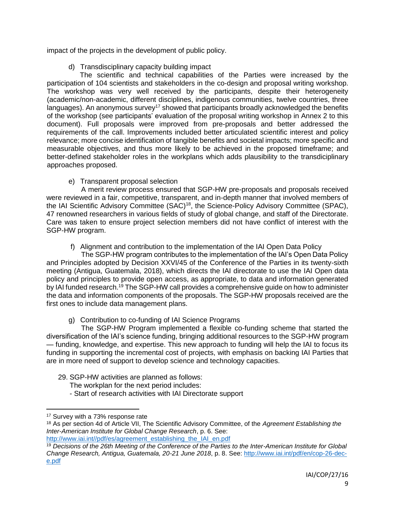impact of the projects in the development of public policy.

d) Transdisciplinary capacity building impact

The scientific and technical capabilities of the Parties were increased by the participation of 104 scientists and stakeholders in the co-design and proposal writing workshop. The workshop was very well received by the participants, despite their heterogeneity (academic/non-academic, different disciplines, indigenous communities, twelve countries, three languages). An anonymous survey<sup>17</sup> showed that participants broadly acknowledged the benefits of the workshop (see participants' evaluation of the proposal writing workshop in Annex 2 to this document). Full proposals were improved from pre-proposals and better addressed the requirements of the call. Improvements included better articulated scientific interest and policy relevance; more concise identification of tangible benefits and societal impacts; more specific and measurable objectives, and thus more likely to be achieved in the proposed timeframe; and better-defined stakeholder roles in the workplans which adds plausibility to the transdiciplinary approaches proposed.

# e) Transparent proposal selection

A merit review process ensured that SGP-HW pre-proposals and proposals received were reviewed in a fair, competitive, transparent, and in-depth manner that involved members of the IAI Scientific Advisory Committee (SAC)<sup>18</sup>, the Science-Policy Advisory Committee (SPAC), 47 renowned researchers in various fields of study of global change, and staff of the Directorate. Care was taken to ensure project selection members did not have conflict of interest with the SGP-HW program.

f) Alignment and contribution to the implementation of the IAI Open Data Policy

The SGP-HW program contributes to the implementation of the IAI's Open Data Policy and Principles adopted by Decision XXVI/45 of the Conference of the Parties in its twenty-sixth meeting (Antigua, Guatemala, 2018), which directs the IAI directorate to use the IAI Open data policy and principles to provide open access, as appropriate, to data and information generated by IAI funded research.<sup>19</sup> The SGP-HW call provides a comprehensive guide on how to administer the data and information components of the proposals. The SGP-HW proposals received are the first ones to include data management plans.

g) Contribution to co-funding of IAI Science Programs

The SGP-HW Program implemented a flexible co-funding scheme that started the diversification of the IAI's science funding, bringing additional resources to the SGP-HW program — funding, knowledge, and expertise. This new approach to funding will help the IAI to focus its funding in supporting the incremental cost of projects, with emphasis on backing IAI Parties that are in more need of support to develop science and technology capacities.

- 29. SGP-HW activities are planned as follows:
	- The workplan for the next period includes:
	- Start of research activities with IAI Directorate support

<sup>17</sup> Survey with a 73% response rate

<sup>18</sup> As per section 4d of Article VII, The Scientific Advisory Committee, of the *Agreement Establishing the Inter-American Institute for Global Change Research*, p. 6. See: [http://www.iai.int//pdf/es/agreement\\_establishing\\_the\\_IAI\\_en.pdf](http://www.iai.int/pdf/es/agreement_establishing_the_IAI_en.pdf)

<sup>19</sup> *Decisions of the 26th Meeting of the Conference of the Parties to the Inter-American Institute for Global Change Research, Antigua, Guatemala, 20-21 June 2018*, p. 8. See: [http://www.iai.int/pdf/en/cop-26-dec](http://www.iai.int/pdf/en/cop-26-dec-e.pdf)[e.pdf](http://www.iai.int/pdf/en/cop-26-dec-e.pdf)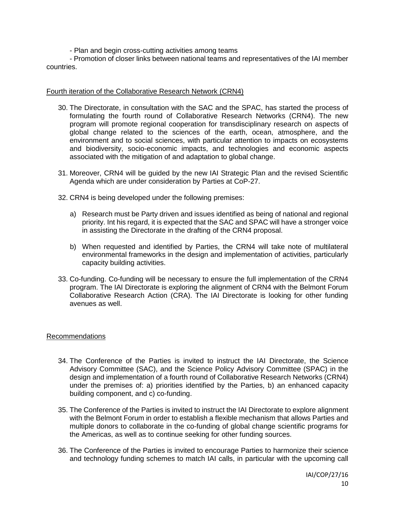- Plan and begin cross-cutting activities among teams

- Promotion of closer links between national teams and representatives of the IAI member countries.

#### Fourth iteration of the Collaborative Research Network (CRN4)

- 30. The Directorate, in consultation with the SAC and the SPAC, has started the process of formulating the fourth round of Collaborative Research Networks (CRN4). The new program will promote regional cooperation for transdisciplinary research on aspects of global change related to the sciences of the earth, ocean, atmosphere, and the environment and to social sciences, with particular attention to impacts on ecosystems and biodiversity, socio-economic impacts, and technologies and economic aspects associated with the mitigation of and adaptation to global change.
- 31. Moreover, CRN4 will be guided by the new IAI Strategic Plan and the revised Scientific Agenda which are under consideration by Parties at CoP-27.
- 32. CRN4 is being developed under the following premises:
	- a) Research must be Party driven and issues identified as being of national and regional priority. Int his regard, it is expected that the SAC and SPAC will have a stronger voice in assisting the Directorate in the drafting of the CRN4 proposal.
	- b) When requested and identified by Parties, the CRN4 will take note of multilateral environmental frameworks in the design and implementation of activities, particularly capacity building activities.
- 33. Co-funding. Co-funding will be necessary to ensure the full implementation of the CRN4 program. The IAI Directorate is exploring the alignment of CRN4 with the Belmont Forum Collaborative Research Action (CRA). The IAI Directorate is looking for other funding avenues as well.

## Recommendations

- 34. The Conference of the Parties is invited to instruct the IAI Directorate, the Science Advisory Committee (SAC), and the Science Policy Advisory Committee (SPAC) in the design and implementation of a fourth round of Collaborative Research Networks (CRN4) under the premises of: a) priorities identified by the Parties, b) an enhanced capacity building component, and c) co-funding.
- 35. The Conference of the Parties is invited to instruct the IAI Directorate to explore alignment with the Belmont Forum in order to establish a flexible mechanism that allows Parties and multiple donors to collaborate in the co-funding of global change scientific programs for the Americas, as well as to continue seeking for other funding sources.
- 36. The Conference of the Parties is invited to encourage Parties to harmonize their science and technology funding schemes to match IAI calls, in particular with the upcoming call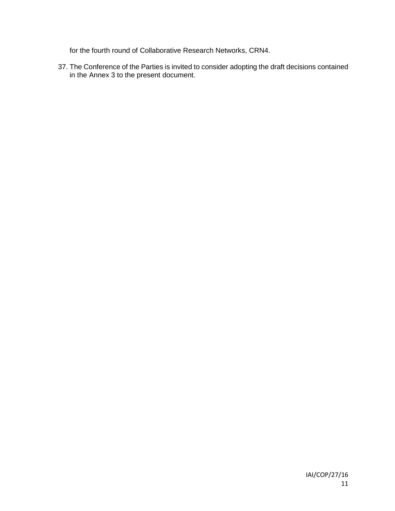for the fourth round of Collaborative Research Networks, CRN4.

37. The Conference of the Parties is invited to consider adopting the draft decisions contained in the Annex 3 to the present document.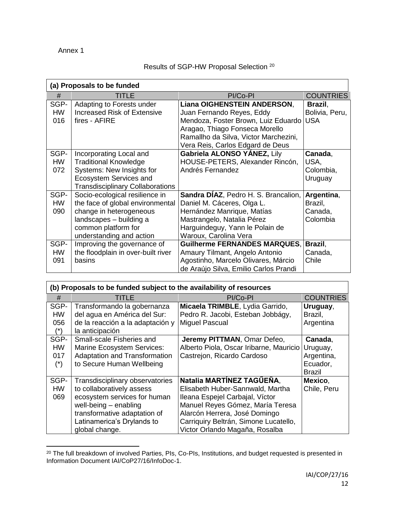Annex 1

 $\overline{a}$ 

# Results of SGP-HW Proposal Selection <sup>20</sup>

| (a) Proposals to be funded |                                         |                                       |                  |  |
|----------------------------|-----------------------------------------|---------------------------------------|------------------|--|
| #                          | TITLE                                   | PI/Co-PI                              | <b>COUNTRIES</b> |  |
| SGP-                       | Adapting to Forests under               | Liana OIGHENSTEIN ANDERSON,           | Brazil,          |  |
| <b>HW</b>                  | <b>Increased Risk of Extensive</b>      | Juan Fernando Reyes, Eddy             | Bolivia, Peru,   |  |
| 016                        | fires - AFIRE                           | Mendoza, Foster Brown, Luiz Eduardo   | <b>USA</b>       |  |
|                            |                                         | Aragao, Thiago Fonseca Morello        |                  |  |
|                            |                                         | Ramallho da Silva, Victor Marchezini, |                  |  |
|                            |                                         | Vera Reis, Carlos Edgard de Deus      |                  |  |
| SGP-                       | Incorporating Local and                 | Gabriela ALONSO YANEZ, Lily           | Canada,          |  |
| <b>HW</b>                  | <b>Traditional Knowledge</b>            | HOUSE-PETERS, Alexander Rincón,       | USA,             |  |
| 072                        | Systems: New Insights for               | Andrés Fernandez                      | Colombia,        |  |
|                            | Ecosystem Services and                  |                                       | Uruguay          |  |
|                            | <b>Transdisciplinary Collaborations</b> |                                       |                  |  |
| SGP-                       | Socio-ecological resilience in          | Sandra DÍAZ, Pedro H. S. Brancalion,  | Argentina,       |  |
| <b>HW</b>                  | the face of global environmental        | Daniel M. Cáceres, Olga L.            | Brazil,          |  |
| 090                        | change in heterogeneous                 | Hernández Manrique, Matías            | Canada,          |  |
|                            | landscapes - building a                 | Mastrangelo, Natalia Pérez            | Colombia         |  |
|                            | common platform for                     | Harguindeguy, Yann le Polain de       |                  |  |
|                            | understanding and action                | Waroux, Carolina Vera                 |                  |  |
| SGP-                       | Improving the governance of             | <b>Guilherme FERNANDES MARQUES.</b>   | Brazil,          |  |
| <b>HW</b>                  | the floodplain in over-built river      | Amaury Tilmant, Angelo Antonio        | Canada,          |  |
| 091                        | basins                                  | Agostinho, Marcelo Olivares, Márcio   | Chile            |  |
|                            |                                         | de Araújo Silva, Emilio Carlos Prandi |                  |  |

| (b) Proposals to be funded subject to the availability of resources |                                                                                                                                                                                                         |                                                                                                                                                                                                                                                  |                                                    |  |
|---------------------------------------------------------------------|---------------------------------------------------------------------------------------------------------------------------------------------------------------------------------------------------------|--------------------------------------------------------------------------------------------------------------------------------------------------------------------------------------------------------------------------------------------------|----------------------------------------------------|--|
| #                                                                   | TITLE                                                                                                                                                                                                   | PI/Co-PI                                                                                                                                                                                                                                         | <b>COUNTRIES</b>                                   |  |
| SGP-<br><b>HW</b><br>056<br>$(*)$                                   | Transformando la gobernanza<br>del agua en América del Sur:<br>de la reacción a la adaptación y<br>la anticipación                                                                                      | Micaela TRIMBLE, Lydia Garrido,<br>Pedro R. Jacobi, Esteban Jobbágy,<br><b>Miguel Pascual</b>                                                                                                                                                    | Uruguay,<br>Brazil,<br>Argentina                   |  |
| SGP-<br><b>HW</b><br>017<br>$(\dot{r})$                             | Small-scale Fisheries and<br><b>Marine Ecosystem Services:</b><br>Adaptation and Transformation<br>to Secure Human Wellbeing                                                                            | Jeremy PITTMAN, Omar Defeo,<br>Alberto Piola, Oscar Iribarne, Mauricio   Uruguay,<br>Castrejon, Ricardo Cardoso                                                                                                                                  | Canada,<br>Argentina,<br>Ecuador,<br><b>Brazil</b> |  |
| SGP-<br><b>HW</b><br>069                                            | Transdisciplinary observatories<br>to collaboratively assess<br>ecosystem services for human<br>well-being $-$ enabling<br>transformative adaptation of<br>Latinamerica's Drylands to<br>global change. | Natalia MARTÍNEZ TAGŰEÑA,<br>Elisabeth Huber-Sannwald, Martha<br>Ileana Espejel Carbajal, Víctor<br>Manuel Reyes Gómez, María Teresa<br>Alarcón Herrera, José Domingo<br>Carriquiry Beltrán, Simone Lucatello,<br>Victor Orlando Magaña, Rosalba | Mexico,<br>Chile, Peru                             |  |

 $^{20}$  The full breakdown of involved Parties, PIs, Co-PIs, Institutions, and budget requested is presented in Information Document IAI/CoP27/16/InfoDoc-1.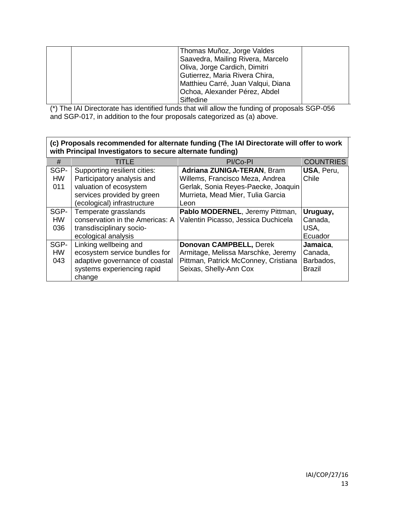| Thomas Muñoz, Jorge Valdes<br>Saavedra, Mailing Rivera, Marcelo<br>Oliva, Jorge Cardich, Dimitri<br>Gutierrez, Maria Rivera Chira,<br>Matthieu Carré, Juan Valqui, Diana<br>Ochoa, Alexander Pérez, Abdel |
|-----------------------------------------------------------------------------------------------------------------------------------------------------------------------------------------------------------|
| Siffedine                                                                                                                                                                                                 |

(\*) The IAI Directorate has identified funds that will allow the funding of proposals SGP-056 and SGP-017, in addition to the four proposals categorized as (a) above.

## **(c) Proposals recommended for alternate funding (The IAI Directorate will offer to work with Principal Investigators to secure alternate funding)**

| #                        | TITLE                                                                                                                            | PI/Co-PI                                                                                                                        | <b>COUNTRIES</b>                                  |  |
|--------------------------|----------------------------------------------------------------------------------------------------------------------------------|---------------------------------------------------------------------------------------------------------------------------------|---------------------------------------------------|--|
| SGP-<br><b>HW</b>        | Supporting resilient cities:<br>Participatory analysis and                                                                       | Adriana ZUNIGA-TERAN, Bram<br>Willems, Francisco Meza, Andrea                                                                   | USA, Peru,<br>Chile                               |  |
| 011                      | valuation of ecosystem<br>services provided by green<br>(ecological) infrastructure                                              | Gerlak, Sonia Reyes-Paecke, Joaquin<br>Murrieta, Mead Mier, Tulia Garcia<br>Leon                                                |                                                   |  |
| SGP-<br><b>HW</b><br>036 | Temperate grasslands<br>conservation in the Americas: A<br>transdisciplinary socio-<br>ecological analysis                       | Pablo MODERNEL, Jeremy Pittman,<br>Valentin Picasso, Jessica Duchicela                                                          | Uruguay,<br>Canada,<br>USA,<br>Ecuador            |  |
| SGP-<br><b>HW</b><br>043 | Linking wellbeing and<br>ecosystem service bundles for<br>adaptive governance of coastal<br>systems experiencing rapid<br>change | Donovan CAMPBELL, Derek<br>Armitage, Melissa Marschke, Jeremy<br>Pittman, Patrick McConney, Cristiana<br>Seixas, Shelly-Ann Cox | Jamaica.<br>Canada,<br>Barbados,<br><b>Brazil</b> |  |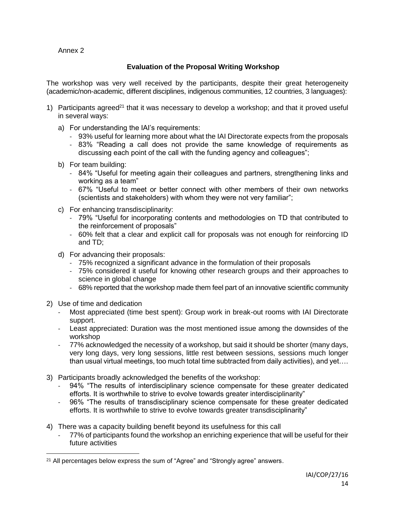Annex 2

# **Evaluation of the Proposal Writing Workshop**

The workshop was very well received by the participants, despite their great heterogeneity (academic/non-academic, different disciplines, indigenous communities, 12 countries, 3 languages):

- 1) Participants agreed<sup>21</sup> that it was necessary to develop a workshop; and that it proved useful in several ways:
	- a) For understanding the IAI's requirements:
		- 93% useful for learning more about what the IAI Directorate expects from the proposals
		- 83% "Reading a call does not provide the same knowledge of requirements as discussing each point of the call with the funding agency and colleagues";
	- b) For team building:
		- 84% "Useful for meeting again their colleagues and partners, strengthening links and working as a team"
		- 67% "Useful to meet or better connect with other members of their own networks (scientists and stakeholders) with whom they were not very familiar";
	- c) For enhancing transdisciplinarity:
		- 79% "Useful for incorporating contents and methodologies on TD that contributed to the reinforcement of proposals"
		- 60% felt that a clear and explicit call for proposals was not enough for reinforcing ID and TD;
	- d) For advancing their proposals:
		- 75% recognized a significant advance in the formulation of their proposals
		- 75% considered it useful for knowing other research groups and their approaches to science in global change
		- 68% reported that the workshop made them feel part of an innovative scientific community
- 2) Use of time and dedication

- Most appreciated (time best spent): Group work in break-out rooms with IAI Directorate support.
- Least appreciated: Duration was the most mentioned issue among the downsides of the workshop
- 77% acknowledged the necessity of a workshop, but said it should be shorter (many days, very long days, very long sessions, little rest between sessions, sessions much longer than usual virtual meetings, too much total time subtracted from daily activities), and yet….
- 3) Participants broadly acknowledged the benefits of the workshop:
	- 94% "The results of interdisciplinary science compensate for these greater dedicated efforts. It is worthwhile to strive to evolve towards greater interdisciplinarity"
	- 96% "The results of transdisciplinary science compensate for these greater dedicated efforts. It is worthwhile to strive to evolve towards greater transdisciplinarity"
- 4) There was a capacity building benefit beyond its usefulness for this call
	- 77% of participants found the workshop an enriching experience that will be useful for their future activities

<sup>&</sup>lt;sup>21</sup> All percentages below express the sum of "Agree" and "Strongly agree" answers.